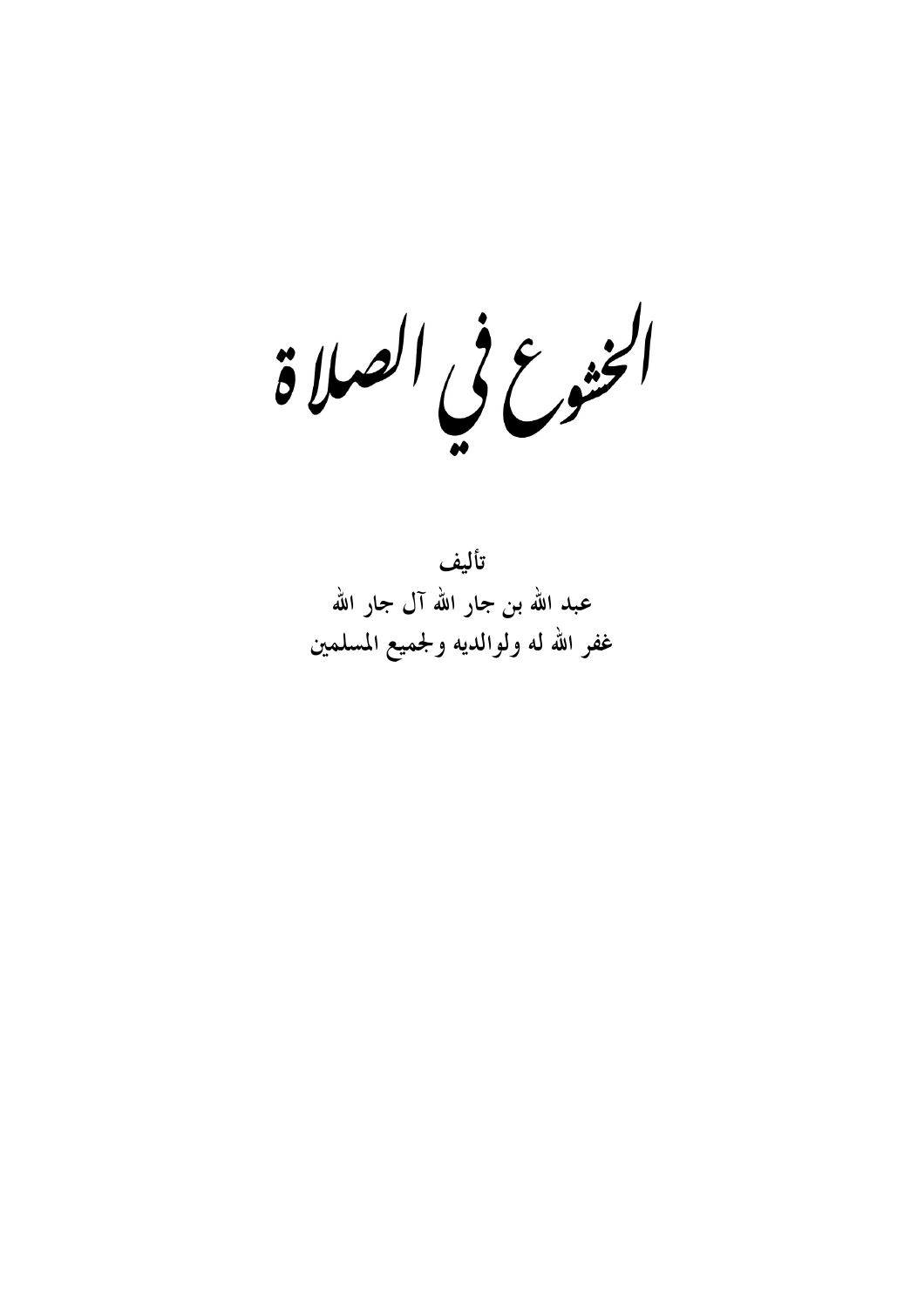الخنوع في الصلاة

تأليف عبد الله بن جار الله آل جار الله غفر الله له ولوالديه ولجميع المسلمين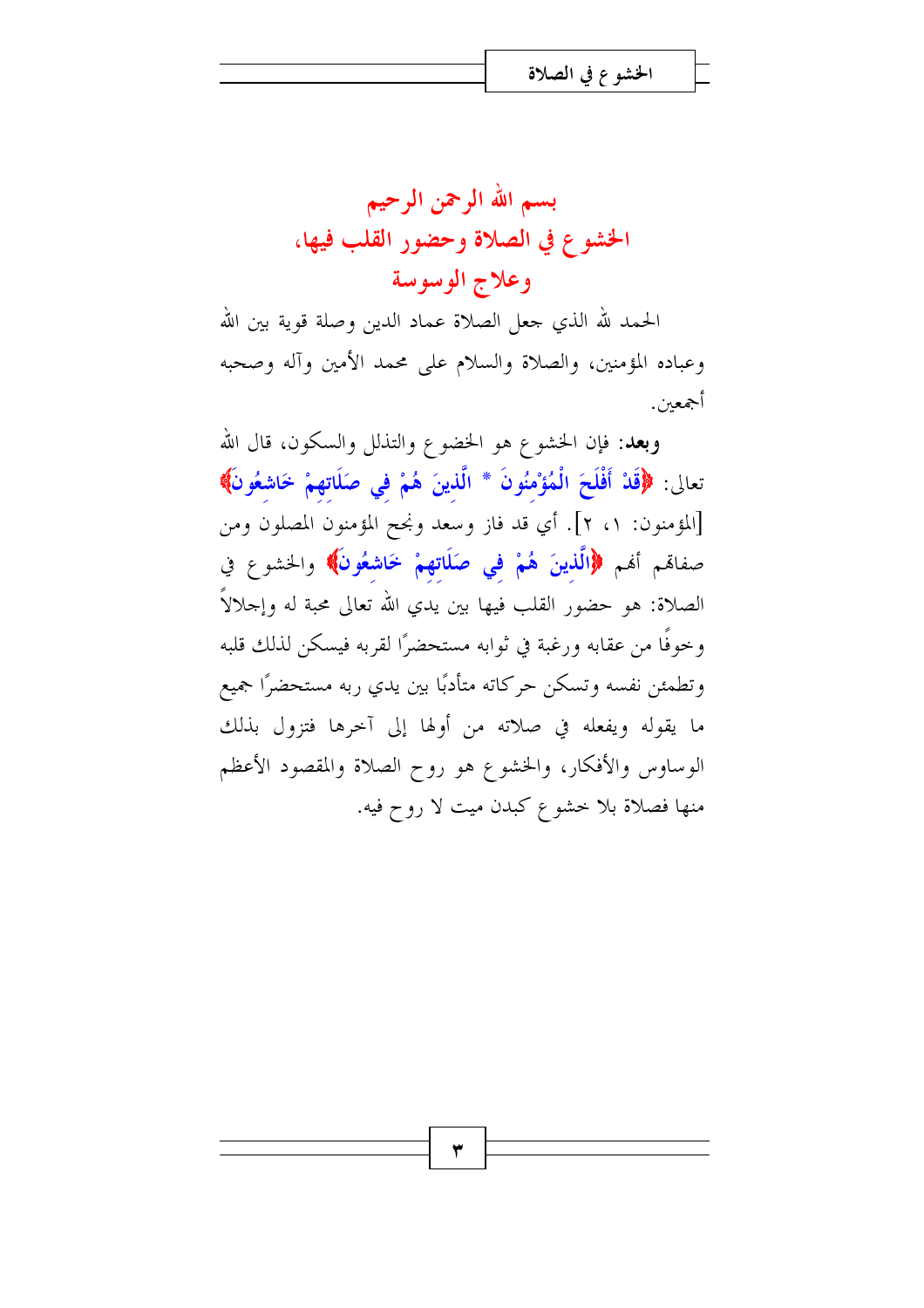بسم الله الرحمن الرحيم الخشوع في الصلاة وحضور القلب فيها، وعلاج الوسوسة

الحمد لله الذي جعل الصلاة عماد الدين وصلة قوية بين الله وعباده المؤمنين، والصلاة والسلام على محمد الأمين وآله وصحبه أجمعين.

**وبعد**: فإن الخشوع هو الخضوع والتذلل والسكون، قال الله تعالى: ﴿قَلْ أَفْلَحَ الْمُؤْمِنُونَ \* الَّذِينَ هُمْ فِي صَلَاتِهِمْ خَاشِعُونَ﴾ [المؤمنون: ١، ٢]. أي قد فاز وسعد ونجح المؤمنون المصلون ومن صفاقم أفم ﴿الَّذِينَ هُمْ فِي صَلَاتِهِمْ خَاشِعُونَ﴾ والخشوع في الصلاة: هو حضور القلب فيها بين يدي الله تعالى محبة له وإحلالاً وخوفًا من عقابه ورغبة في ثوابه مستحضرًا لقربه فيسكن لذلك قلبه وتطمئن نفسه وتسكن حركاته متأدبًا بين يدي ربه مستحضرًا جميع ما يقوله ويفعله في صلاته من أولها إلى آخرها فتزول بذلك الوساوس والأفكار، والخشوع هو روح الصلاة والمقصود الأعظم منها فصلاة بلا خشوع كبدن ميت لا روح فيه.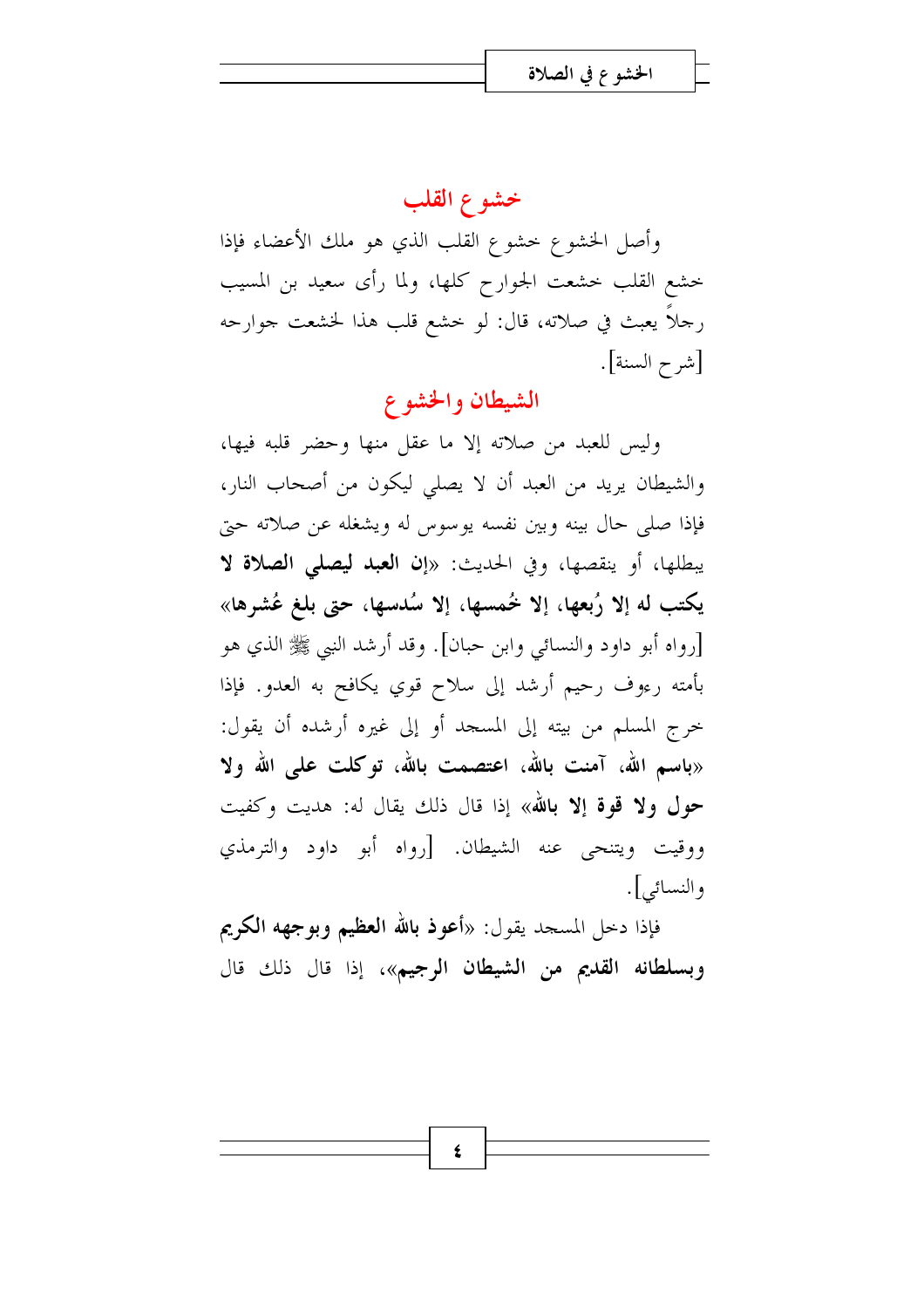### خشوع القلب

وأصل الخشوع خشوع القلب الذي هو ملك الأعضاء فإذا خشع القلب خشعت الجوارح كلها، ولما رأى سعيد بن المسيب رجلًا يعبث في صلاته، قال: لو خشع قلب هذا لخشعت جوارحه [شرح السنة].

### الشيطان والخشوع

وليس للعبد من صلاته إلا ما عقل منها وحضر قلبه فيها، والشيطان يريد من العبد أن لا يصلي ليكون من أصحاب النار، فإذا صلى حال بينه وبين نفسه يوسوس له ويشغله عن صلاته حتى يبطلها، أو ينقصها، وفي الحديث: «إن العبد ليصلى الصلاة لا يكتب له إلا رُبعها، إلا خُمسها، إلا سُدسها، حتى بلغ عُشرها» [رواه أبو داود والنسائي وابن حبان]. وقد أرشد النبي ﷺ الذي هو بأمته رءوف رحيم أرشد إلى سلاح قوي يكافح به العدو. فإذا حرج المسلم من بيته إلى المسجد أو إلى غيره أرشده أن يقول: «باسم الله، آمنت بالله، اعتصمت بالله، توكلت على الله ولا حول ولا قوة إلا بالله» إذا قال ذلك يقال له: هديت وكفيت ووقيت ويتنحى عنه الشيطان. [رواه أبو داود والترمذي والنسائبي].

فإذا دخل المسجد يقول: «أعوذ بالله ا**لعظيم وبوجهه الكريم** وبسلطانه القديم من الشيطان الرجيم»، إذا قال ذلك قال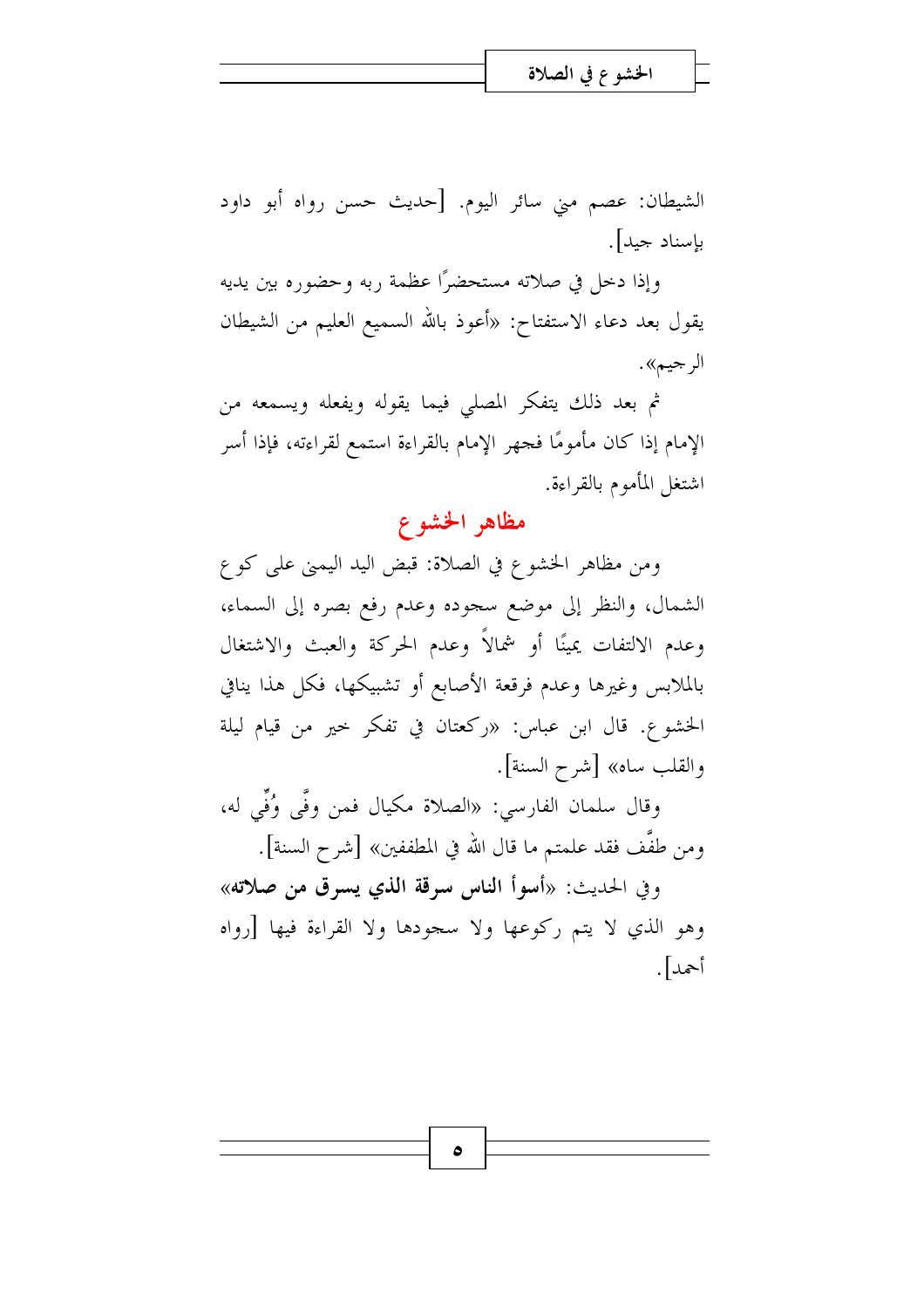الشيطان: عصم مني سائر اليوم. [حديث حسن رواه أبو داود بإسناد جيد].

وإذا دخل في صلاته مستحضرًا عظمة ربه وحضوره بين يديه يقول بعد دعاء الاستفتاح: «أعوذ بالله السميع العليم من الشيطان الر جيم».

ثم بعد ذلك يتفكر المصلى فيما يقوله ويفعله ويسمعه من الإمام إذا كان مأمومًا فجهر الإمام بالقراءة استمع لقراءته، فإذا أسر اشتغل المأموم بالقراءة.

## مظاهر الخشوع

ومن مظاهر الخشوع في الصلاة: قبض اليد اليمني على كوع الشمال، والنظر إلى موضع سجوده وعدم رفع بصره إلى السماء، وعدم الالتفات يمينًا أو شمالاً وعدم الحركة والعبث والاشتغال بالملابس وغيرها وعدم فرقعة الأصابع أو تشبيكها، فكل هذا ينافي الخشوع. قال ابن عباس: «ركعتان في تفكر حير من قيام ليلة والقلب ساه» [شرح السنة].

وقال سلمان الفارسي: «الصلاة مكيال فمن وفَّى وُفِّي له، ومن طفَّف فقد علمتم ما قال الله في المطففين» [شرح السنة].

وفي الحديث: «أسوأ الناس سرقة الذي يسرق من صلاته» وهو الذي لا يتم ركوعها ولا سجودها ولا القراءة فيها [رواه أحمد].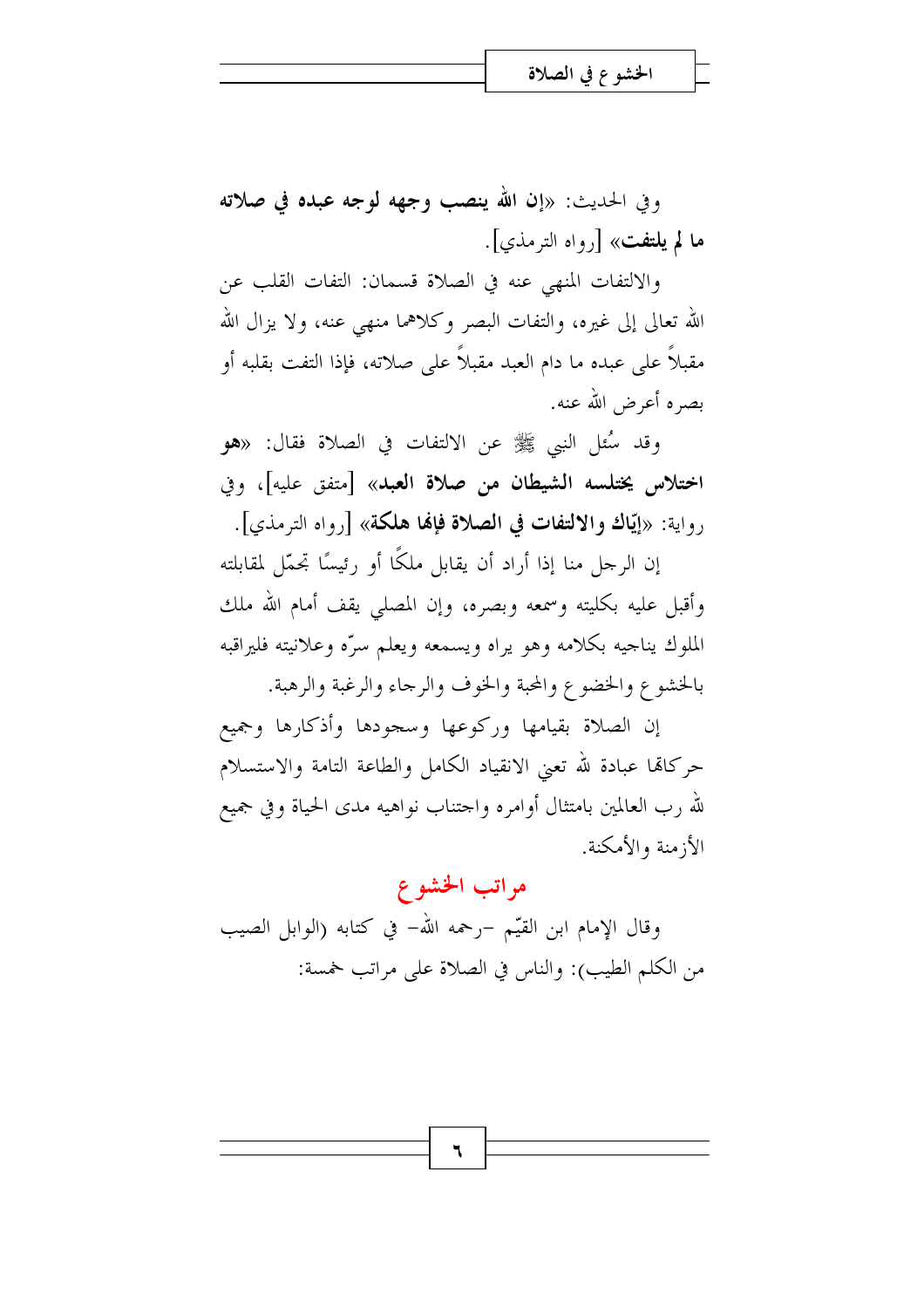وفي الحديث: «إن الله ينصب وجهه لوجه عبده في صلاته ما لم يلتفت» [رواه الترمذي].

والالتفات المنهى عنه في الصلاة قسمان: التفات القلب عن الله تعالى إلى غيره، والتفات البصر وكلاهما منهى عنه، ولا يزال الله مقبلاً على عبده ما دام العبد مقبلاً على صلاته، فإذا التفت بقلبه أو بصره أعرض الله عنه.

وقد سُئل النبي ﷺ عن الالتفات في الصلاة فقال: «هو اختلاس يختلسه الشيطان من صلاة العبد» [متفق عليه]، وفي رواية: «إيّاك والالتفات في الصلاة فإلها هلكة» [رواه الترمذي].

إن الرحل منا إذا أراد أن يقابل ملكًا أو رئيسًا تحمّل لمقابلته وأقبل عليه بكليته وسمعه وبصره، وإن المصلى يقف أمام الله ملك الملوك يناجيه بكلامه وهو يراه ويسمعه ويعلم سرّه وعلانيته فليراقبه بالخشوع والخضوع والمحبة والخوف والرجاء والرغبة والرهبة.

إن الصلاة بقيامها وركوعها وسجودها وأذكارها وجميع حركاتما عبادة لله تعني الانقياد الكامل والطاعة التامة والاستسلام لله رب العالمين بامتثال أوامره واحتناب نواهيه مدى الحياة وفي جميع الأزمنة والأمكنة.

### مراتب الخشوع

وقال الإمام ابن القيّم –رحمه الله– في كتابه (الوابل الصيب من الكلم الطيب): والناس في الصلاة على مراتب خمسة:

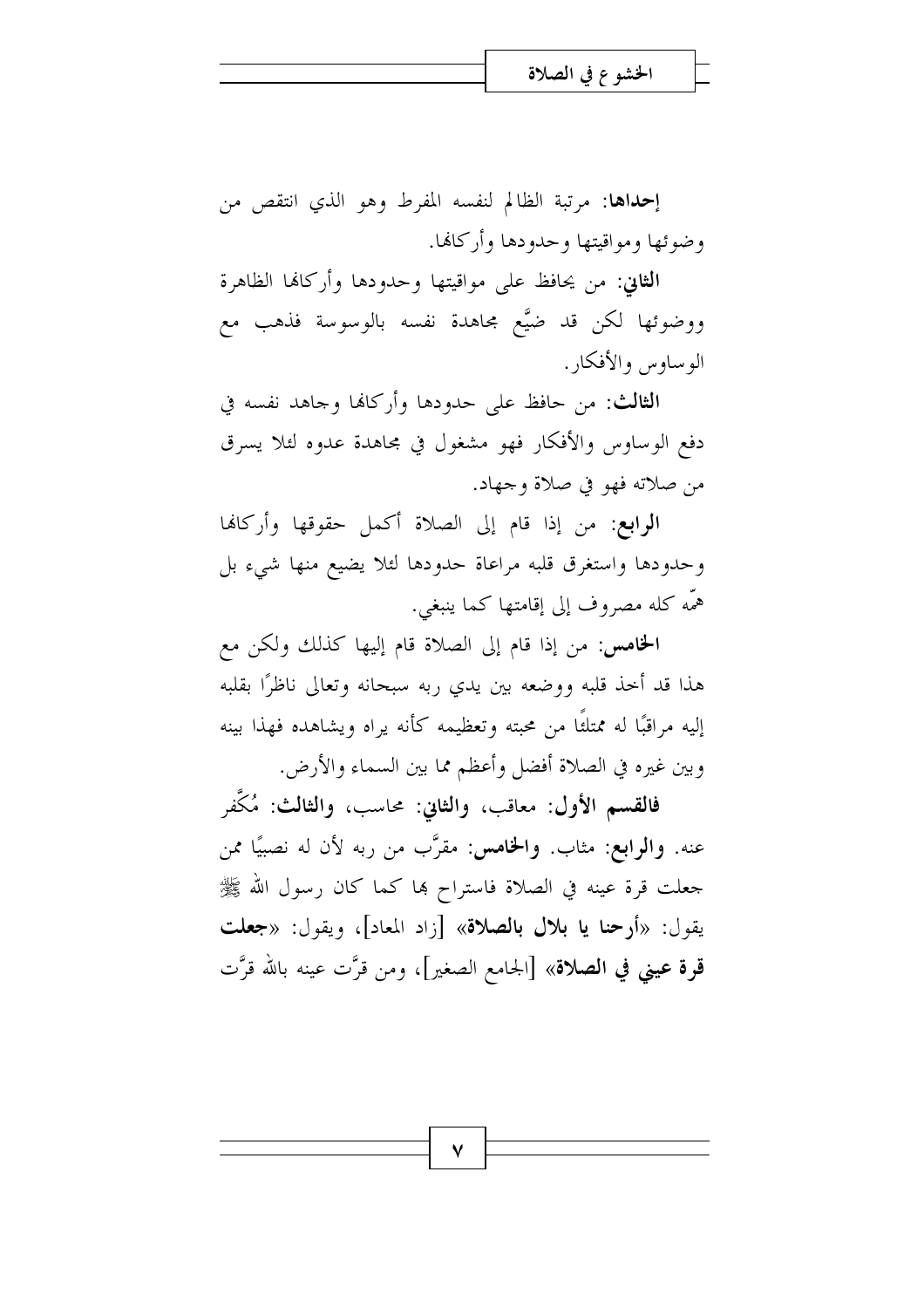**إحداها:** مرتبة الظالم لنفسه المفرط وهو الذي انتقص من وضوئها ومواقيتها وحدودها وأركانما.

**الثاني**: من يحافظ على مواقيتها وحدودها وأركافما الظاهرة ووضوئها لكن قد ضيَّع مجاهدة نفسه بالوسوسة فذهب مع الوساوس والأفكار .

**الثالث:** من حافظ على حدودها وأركافا وجاهد نفسه في دفع الوساوس والأفكار فهو مشغول في مجاهدة عدوه لئلا يسرق من صلاته فهو في صلاة وجهاد.

**الرابع:** من إذا قام إلى الصلاة أكمل حقوقها وأركانها وحدودها واستغرق قلبه مراعاة حدودها لئلا يضيع منها شيء بل همَّه كله مصروف إلى إقامتها كما ينبغي.

**الخامس:** من إذا قام إلى الصلاة قام إليها كذلك ولكن مع هذا قد أخذ قلبه ووضعه بين يدي ربه سبحانه وتعالى ناظرًا بقلبه إليه مراقبًا له ممتلئًا من محبته وتعظيمه كأنه يراه ويشاهده فهذا بينه وبين غيره في الصلاة أفضل وأعظم مما بين السماء والأرض.

فالقسم الأول: معاقب، والثاني: محاسب، والثالث: مُكَفِّر عنه. وا**لرابع**: مثاب. وا**لخامس**: مقرَّب من ربه لأن له نصبيًا ممن جعلت قرة عينه في الصلاة فاستراح بما كما كان رسول الله ﷺ يقول: «أرحنا يا بلال بالصلاة» [زاد المعاد]، ويقول: «جعلت قرة عيني في الصلاة» [الجامع الصغير]، ومن قرَّت عينه بالله قرَّت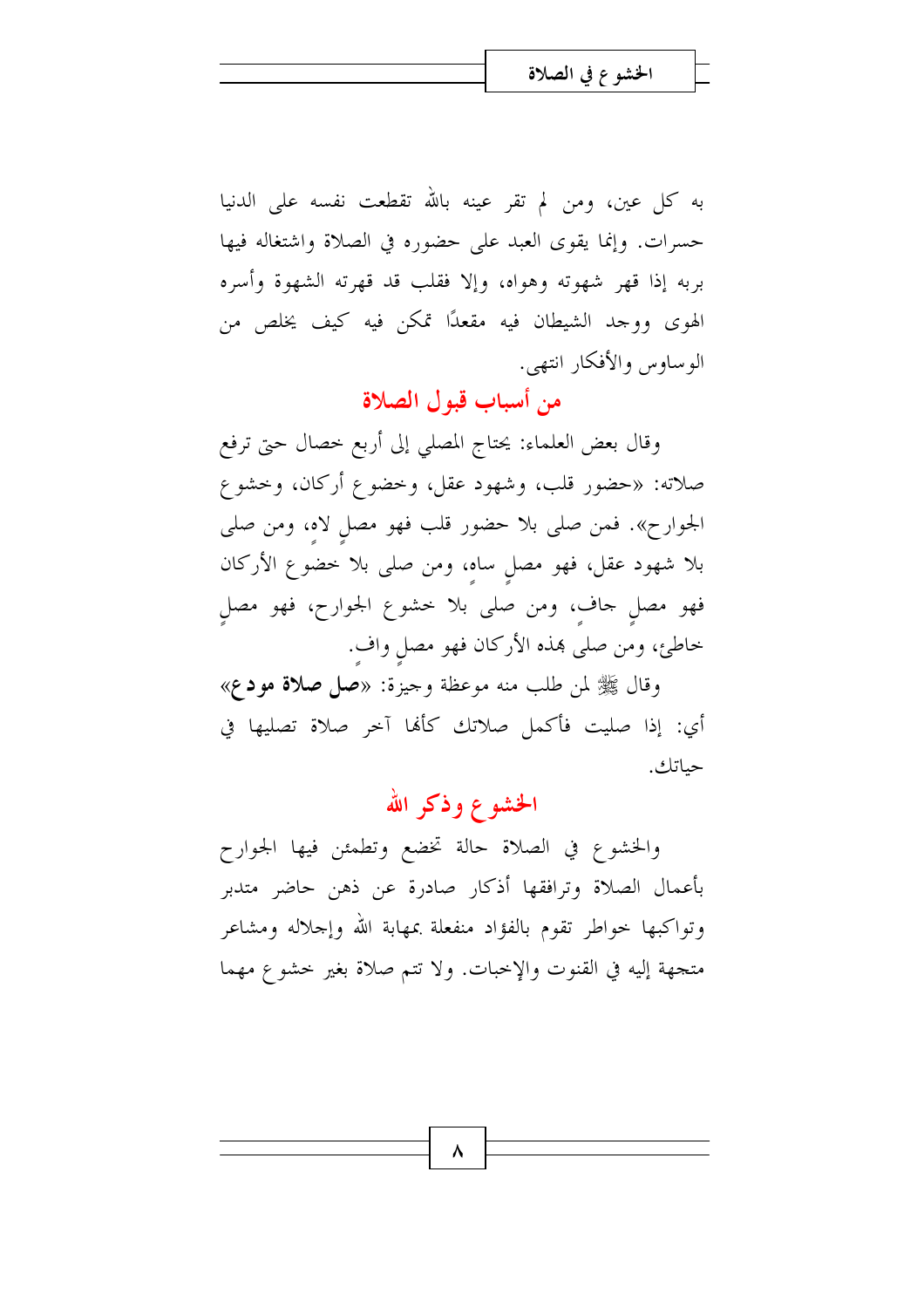به كل عين، ومن لم تقر عينه بالله تقطعت نفسه على الدنيا حسرات. وإنما يقوى العبد على حضوره في الصلاة واشتغاله فيها بربه إذا قهر شهوته وهواه، وإلا فقلب قد قهرته الشهوة وأسره الهوى ووجد الشيطان فيه مقعدًا تمكن فيه كيف يخلص من الوساوس والأفكار انتهى.

من أسباب قبول الصلاة

وقال بعض العلماء: يحتاج المصلى إلى أربع خصال حتى ترفع صلاته: «حضور قلب، وشهود عقل، وخضوع أركان، وخشوع الجوارح». فمن صلى بلا حضور قلب فهو مصل لاه، ومن صلى بلا شهود عقل، فهو مصل ساه، ومن صلى بلا خضوع الأركان فهو مصل حاف، ومن صلى بلا خشوع الجوارح، فهو مصل خاطئ، ومن صلى هذه الأركان فهو مصلٍ وافٍ.

وقال ﷺ لمن طلب منه موعظة وجيزة: «صل صلاة مودع» أي: إذا صليت فأكمل صلاتك كألها آخر صلاة تصليها في حياتك.

# الخشوع وذكر الله

والخشوع في الصلاة حالة تخضع وتطمئن فيها الجوارح بأعمال الصلاة وترافقها أذكار صادرة عن ذهن حاضر متدبر وتواكبها حواطر تقوم بالفؤاد منفعلة بمهابة الله وإجلاله ومشاعر متجهة إليه في القنوت والإخبات. ولا تتم صلاة بغير خشوع مهما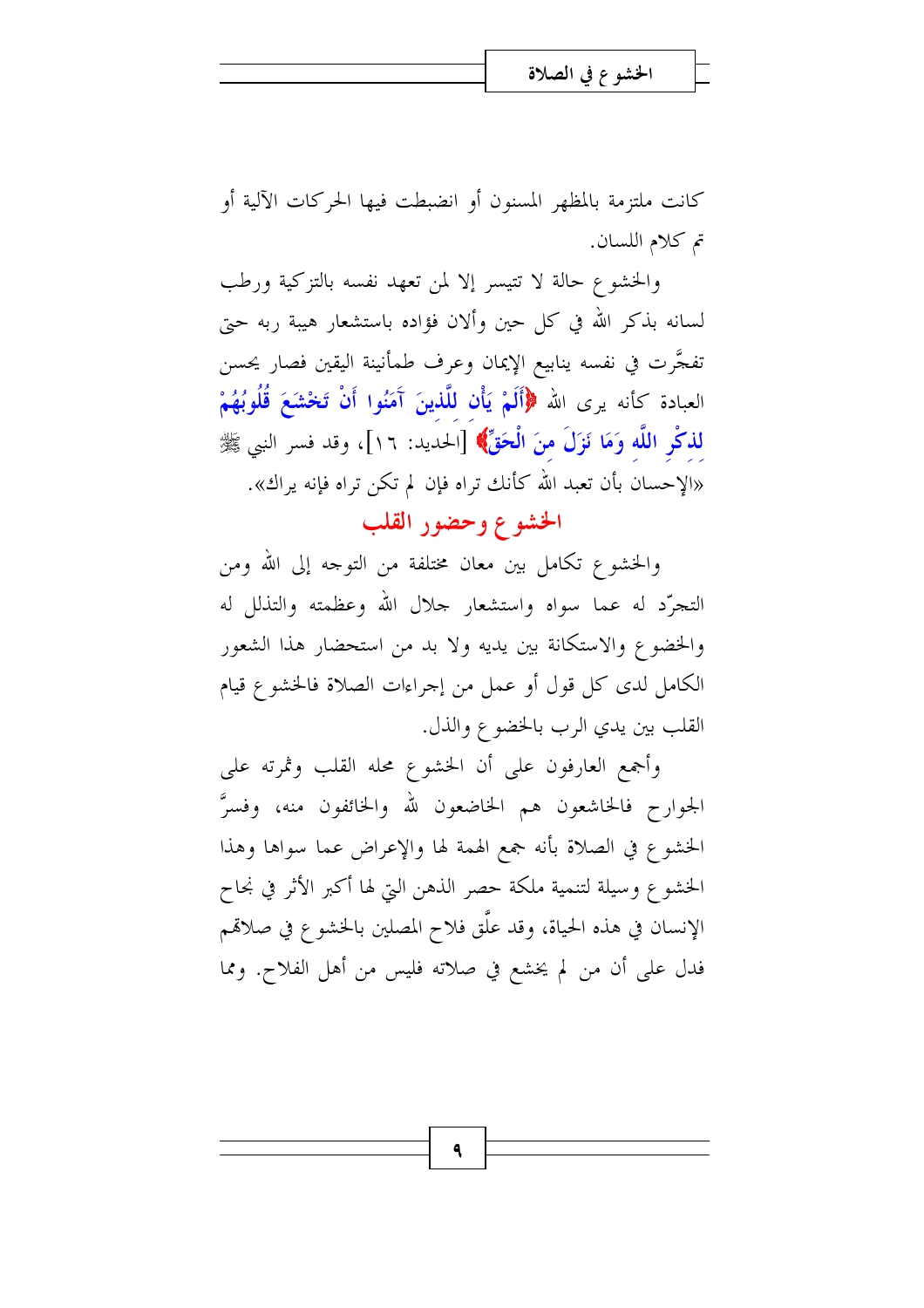كانت ملتزمة بالمظهر المسنون أو انضبطت فيها الحركات الآلية أو تم كلام اللسان.

والخشوع حالة لا تتيسر إلا لمن تعهد نفسه بالتزكية ورطب لسانه بذكر الله في كل حين وألان فؤاده باستشعار هيبة ربه حتى تفجَّرت في نفسه ينابيع الإيمان وعرف طمأنينة اليقين فصار يحسن العبادة كأنه يرى الله ﴿أَلَمْ يَأْنِ لِلَّذِينَ آَمَنُوا أَنْ تَخْشَعَ قُلُوبُهُمْ لذكْرِ اللَّهِ وَمَا نَزَلَ مِنَ الْحَقِّ﴾ [الحديد: ١٦]، وقد فسر النبي ﷺ «الإحسان بأن تعبد الله كأنك تراه فإن لم تكن تراه فإنه يراك».

الخشوع وحضور القلب

والخشوع تكامل بين معان مختلفة من التوجه إلى الله ومن التجرَّد له عما سواه واستشعار حلال الله وعظمته والتذلل له والخضوع والاستكانة بين يديه ولا بد من استحضار هذا الشعور الكامل لدى كل قول أو عمل من إجراءات الصلاة فالخشوع قيام القلب بين يدي الرب بالخضوع والذل.

وأجمع العارفون على أن الخشوع محله القلب وثمرته على الجوارح فالخاشعون هم الخاضعون لله والخائفون منه، وفسرً الخشوع في الصلاة بأنه جمع الهمة لها والإعراض عما سواها وهذا الخشوع وسيلة لتنمية ملكة حصر الذهن التي لها أكبر الأثر في نجاح الإنسان في هذه الحياة، وقد علَّق فلاح المصلين بالخشوع في صلاقمم فدل على أن من لم يخشع في صلاته فليس من أهل الفلاح. ومما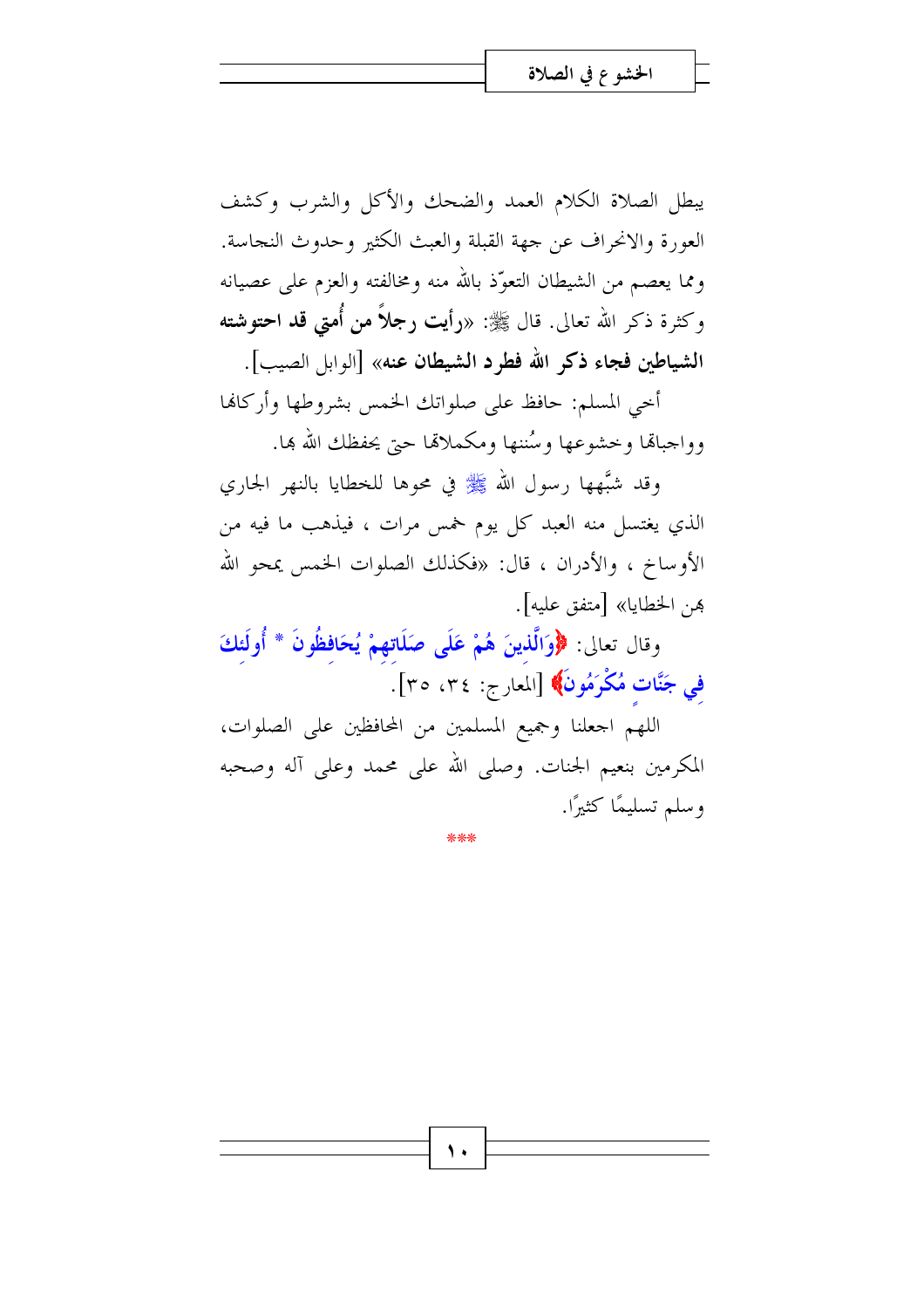يبطل الصلاة الكلام العمد والضحك والأكل والشرب وكشف العورة والانحراف عن جهة القبلة والعبث الكثير وحدوث النجاسة. ومما يعصم من الشيطان التعوَّذ بالله منه ومخالفته والعزم على عصيانه وكثرة ذكر الله تعالى. قال ﷺ: «رأيت رجلاً من أُمتى قد احتوشته الشياطين فجاء ذكر الله فطرد الشيطان عنه» [الوابل الصيب].

أخى المسلم: حافظ على صلواتك الخمس بشروطها وأركالها وواجبالها وخشوعها وسُننها ومكملاقما حتى يحفظك الله بما.

وقد شبَّهها رسول الله ﷺ في محوها للخطايا بالنهر الجاري الذي يغتسل منه العبد كل يوم خمس مرات ، فيذهب ما فيه من الأوساخ ، والأدران ، قال: «فكذلك الصلوات الخمس يمحو الله هن الخطايا» [متفق عليه].

وقال تعالى: ﴿وَالَّذِينَ هُمْ عَلَى صَلَاتِهِمْ يُحَافِظُونَ \* أُولَئِكَ في جَنَّات مُكْرَمُونَ﴾ [المعارج: ٣٤، ٣٥].

اللهم اجعلنا وجميع المسلمين من المحافظين على الصلوات، المكرمين بنعيم الجنات. وصلى الله على محمد وعلى آله وصحبه وسلم تسليمًا كثيرًا.

#### \*\*\*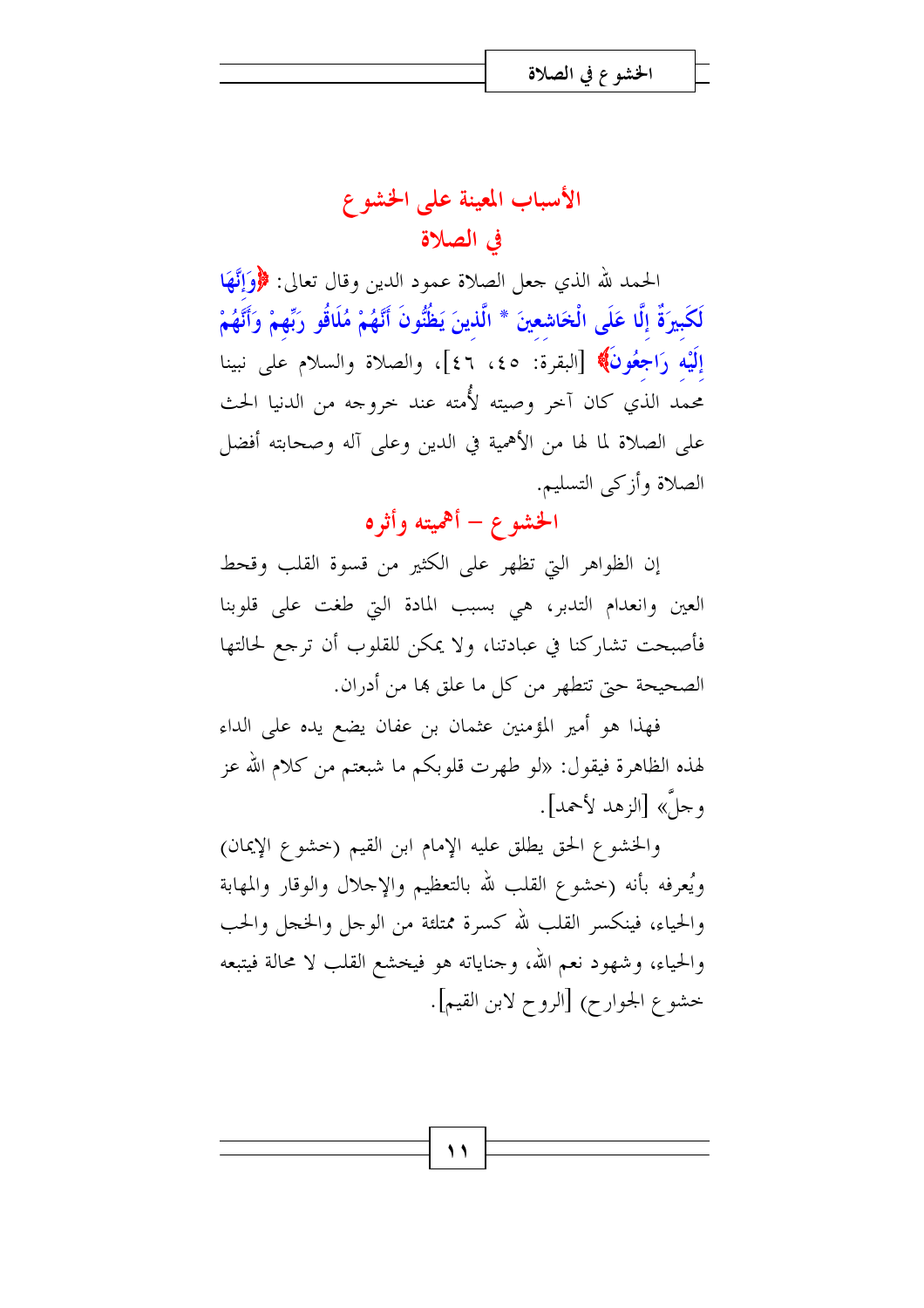# الأسباب المعينة على الخشوع في الصلاة

الحمد لله الذي حعل الصلاة عمود الدين وقال تعالى: ﴿وَإِنَّهَا لَكَبِيرَةٌ إِلَّا عَلَى الْخَاشِعِينَ \* الَّذينَ يَظُنُّونَ أَنَّهُمْ مُلَاقُو رَبِّهِمْ وَأَنَّهُمْ إِلَيْهِ رَاجِعُونَ﴾ [البقرة: ٤٥، ٤٦]، والصلاة والسلام على نبينا محمد الذي كان آخر وصيته لأُمته عند خروجه من الدنيا الحث على الصلاة لما لها من الأهمية في الدين وعلى آله وصحابته أفضل الصلاة وأزكى التسليم.

# الخشوع – أهميته وأثره

إن الظواهر التي تظهر على الكثير من قسوة القلب وقحط العين وانعدام التدبر، هي بسبب المادة التي طغت على قلوبنا فأصبحت تشاركنا في عبادتنا، ولا يمكن للقلوب أن ترجع لحالتها الصحيحة حيّ تتطهر من كلّ ما علق ها من أدران.

فهذا هو أمير المؤمنين عثمان بن عفان يضع يده على الداء لهذه الظاهرة فيقول: «لو طهرت قلوبكم ما شبعتم من كلام الله عز وجلٌ» [الزهد لأحمد].

والخشوع الحق يطلق عليه الإمام ابن القيم (حشوع الإيمان) ويُعرفه بأنه (خشوع القلب لله بالتعظيم والإحلال والوقار والمهابة والحياء، فينكسر القلب لله كسرة ممتلئة من الوجل والخجل والحب والحياء، وشهود نعم الله، وحناياته هو فيخشع القلب لا محالة فيتبعه خشوع الجوارح) [الروح لابن القيم].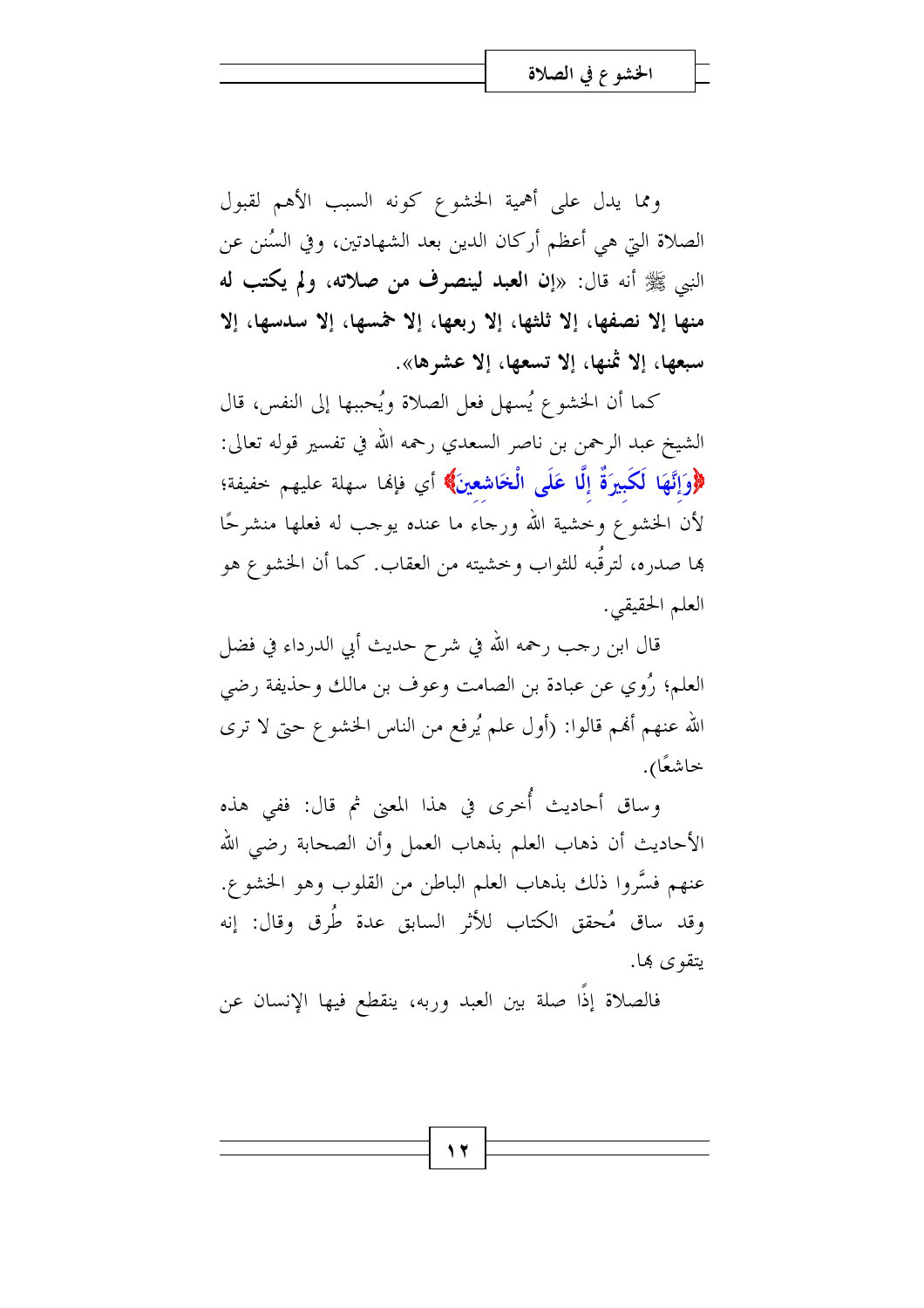ومما يدل على أهمية الخشوع كونه السبب الأهم لقبول الصلاة التي هي أعظم أركان الدين بعد الشهادتين، وفي السُنن عن النبي ﷺ أنه قال: «إن ا**لعبد لينصرف من صلاته**، ولم يكتب له منها إلا نصفها، إلا ثلثها، إلا ربعها، إلا خمسها، إلا سدسها، إلا سبعها، إلا ثمنها، إلا تسعها، إلا عشرها».

كما أن الخشوع يُسهل فعل الصلاة ويُحببها إلى النفس، قال الشيخ عبد الرحمن بن ناصر السعدي رحمه الله في تفسير قوله تعالى: ﴿وَإِنَّهَا لَكَبِيرَةٌ إِلَّا عَلَى الْخَاشِعِينَ﴾ أي فإنها سهلة عليهم خفيفة؛ لأن الخشوع وخشية الله ورجاء ما عنده يوجب له فعلها منشرحًا ها صدره، لترقُبه للثواب وخشيته من العقاب. كما أن الخشوع هو العلم الحقيقي.

قال ابن رحب رحمه الله في شرح حديث أبي الدرداء في فضل العلم؛ رُوي عن عبادة بن الصامت وعوف بن مالك وحذيفة رضي الله عنهم ألهم قالوا: (أول علم يُرفع من الناس الخشوع حتى لا ترى خاشعًا).

وساق أحاديث أُخرى في هذا المعنى ثم قال: ففي هذه الأحاديث أن ذهاب العلم بذهاب العمل وأن الصحابة رضى الله عنهم فسَّروا ذلك بذهاب العلم الباطن من القلوب وهو الخشوع. وقد ساق مُحقق الكتاب للأثر السابق عدة طُرِق وقال: إنه بتقوى ها.

فالصلاة إذًا صلة بين العبد وربه، ينقطع فيها الإنسان عن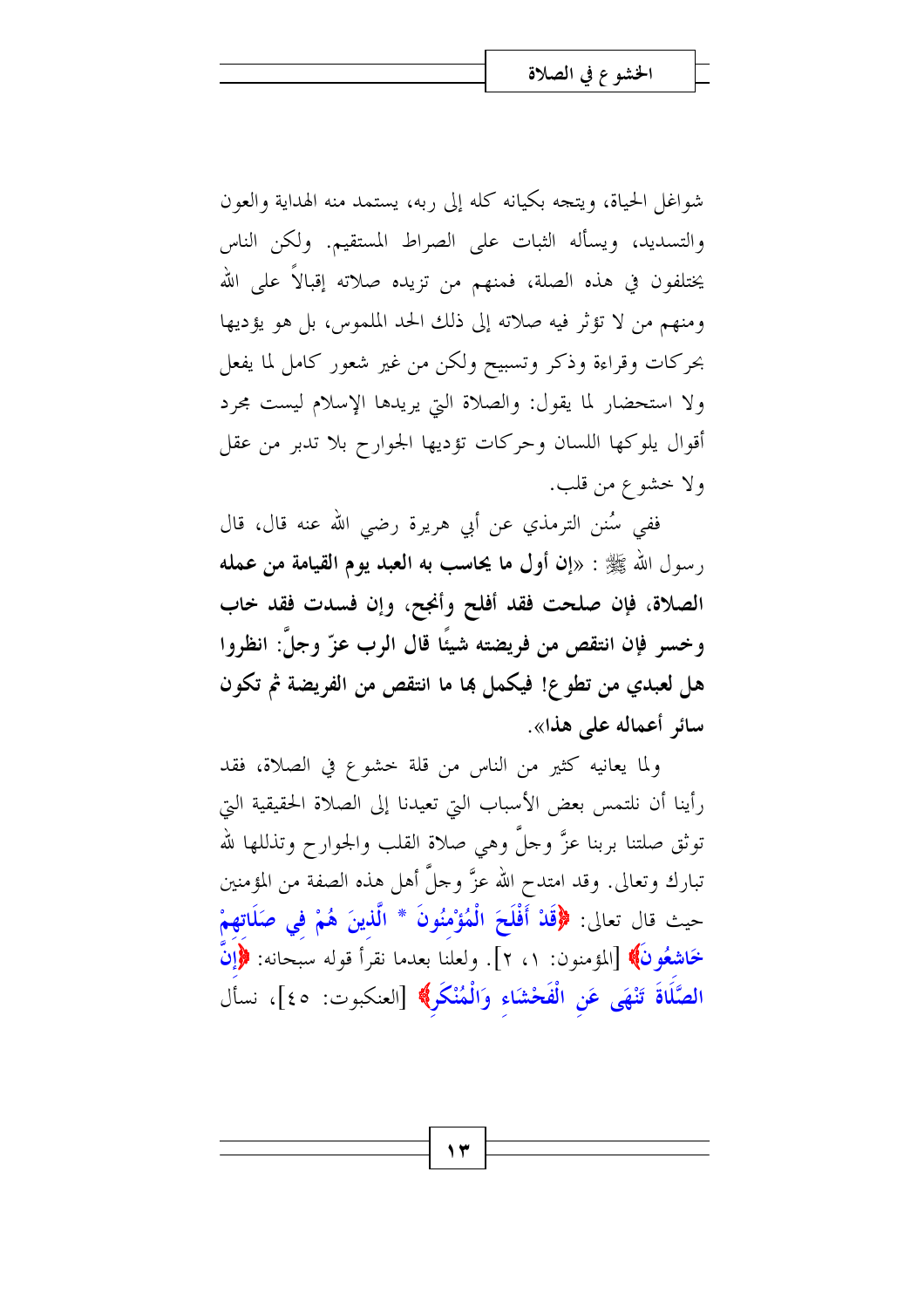شواغل الحياة، ويتجه بكيانه كله إلى ربه، يستمد منه الهداية والعون والتسديد، ويسأله الثبات على الصراط المستقيم. ولكن الناس يختلفون في هذه الصلة، فمنهم من تزيده صلاته إقبالاً على الله ومنهم من لا تؤثر فيه صلاته إلى ذلك الحد الملموس، بل هو يؤديها بحركات وقراءة وذكر وتسبيح ولكن من غير شعور كامل لما يفعل ولا استحضار لما يقول: والصلاة التي يريدها الإسلام ليست محرد أقوال يلوكها اللسان وحركات تؤديها الجوارح بلا تدبر من عقل ولا حشوع من قلب.

ففي سُنن الترمذي عن أبي هريرة رضي الله عنه قال، قال رسول الله ﷺ : «إن أول ما يحاسب به العبد يوم القيامة من عمله الصلاة، فإن صلحت فقد أفلح وأنجح، وإن فسدت فقد حاب وخسر فإن انتقص من فريضته شيئًا قال الرب عزّ وجلَّ: انظروا هل لعبدي من تطوع! فيكمل ها ما انتقص من الفريضة ثم تكون سائر أعماله على هذا».

ولما يعانيه كثير من الناس من قلة خشوع في الصلاة، فقد رأينا أن نلتمس بعض الأسباب التي تعيدنا إلى الصلاة الحقيقية التي توثق صلتنا بربنا عزَّ وحلَّ وهي صلاة القلب والجوارح وتذللها لله تبارك وتعالى. وقد امتدح الله عزَّ وحلَّ أهل هذه الصفة من المؤمنين حيث قال تعالى: ﴿قَلْ أَفْلَحَ الْمُؤْمِنُونَ \* الَّذِينَ هُمْ فِي صَلَاتِهِمْ خَاشِعُونَ﴾ [المؤمنون: ١، ٢]. ولعلنا بعدما نقرأ قوله سبحانه: ﴿إِنَّ الصَّلَاةَ تَنْهَى عَنِ الْفَحْشَاءِ وَالْمُنْكَرِ﴾ [العنكبوت: ٤٥]، نسأل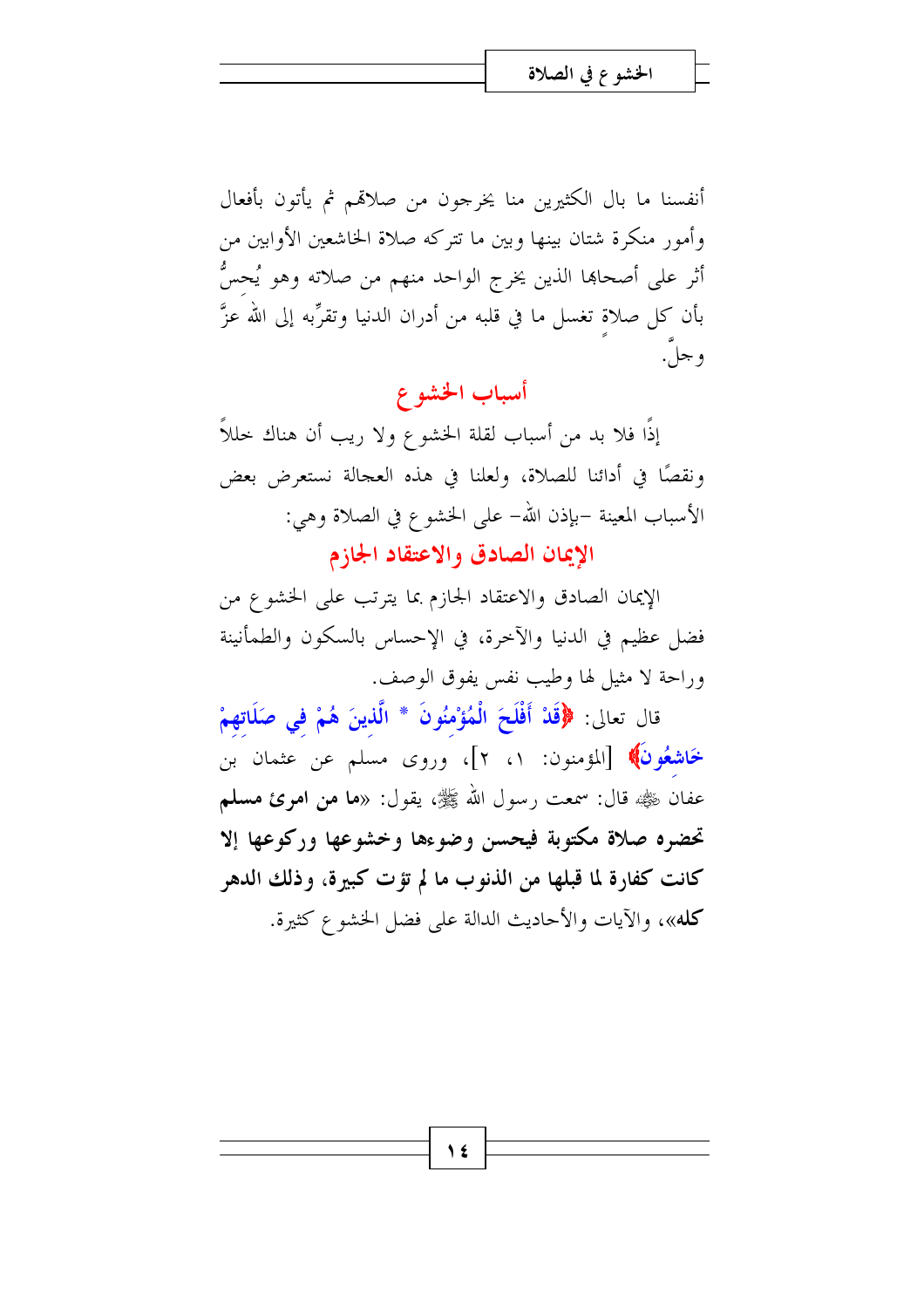أنفسنا ما بال الكثيرين منا يخرجون من صلاقم ثم يأتون بأفعال وأمور منكرة شتان بينها وبين ما تتركه صلاة الخاشعين الأوابين من أثر على أصحاها الذين يخرج الواحد منهم من صلاته وهو يُحسُّ بأن كل صلاة تغسل ما في قلبه من أدران الدنيا وتقرِّبه إلى الله عزَّ و جلَّ.

## أسباب الخشوع

إذًا فلا بد من أسباب لقلة الخشوع ولا ريب أن هناك خللاً ونقصًا في أدائنا للصلاة، ولعلنا في هذه العجالة نستعرض بعض الأسباب المعينة –بإذن الله– على الخشو ع في الصلاة وهي: الإيمان الصادق والاعتقاد الجازم

الإيمان الصادق والاعتقاد الجازم بما يترتب على الخشوع من فضل عظيم في الدنيا والآخرة، في الإحساس بالسكون والطمأنينة وراحة لا مثيل لها وطيب نفس يفوق الوصف.

قال تعالى: ﴿قَلْا أَفْلَحَ الْمُؤْمِنُونَ \* الَّذِينَ هُمْ في صَلَاتِهِمْ خَاشِعُونَ﴾ [المؤمنون: ١، ٢]، وروى مسلم عن عثمان بن عفان ﷺ قال: سمعت , سول الله ﷺ، يقول: «**ما من امرئ مسلم** تحضره صلاة مكتوبة فيحسن وضوءها وخشوعها وركوعها إلا كانت كفارة لما قبلها من الذنوب ما لم تؤت كبيرة، وذلك الدهر كله»، والآيات والأحاديث الدالة على فضل الخشوع كثيرة.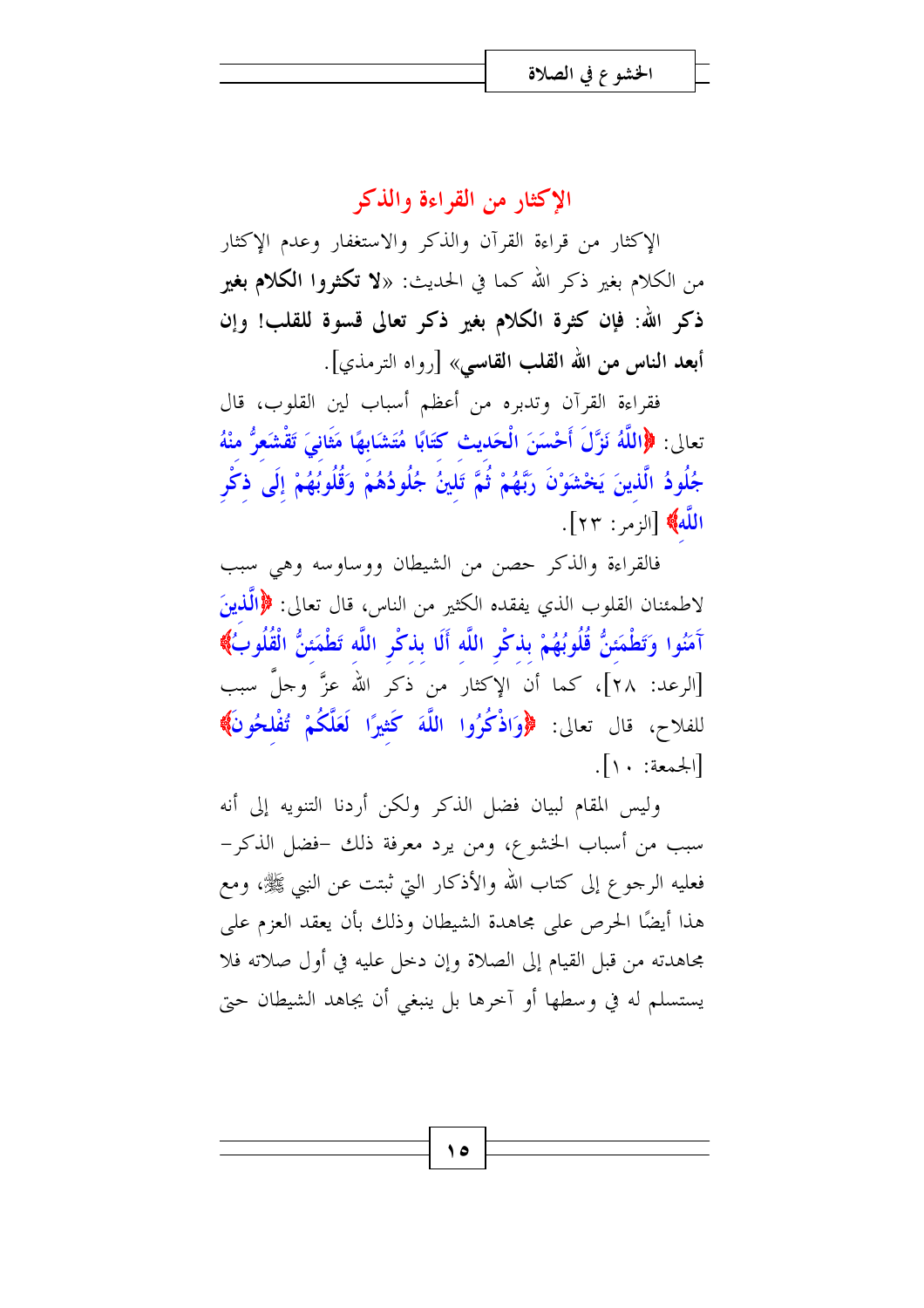### الإكثار من القراءة والذكر

الإكثار من قراءة القرآن والذكر والاستغفار وعدم الإكثار من الكلام بغير ذكر الله كما في الحديث: «لا تكثروا **الكلام بغير** ذكر الله: فإن كثرة الكلام بغير ذكر تعالى قسوة للقلب! وإن أبعد الناس من الله القلب القاسي» [رواه الترمذي].

فقراءة القرآن وتدبره من أعظم أسباب لين القلوب، قال تعالى: ﴿اللَّهُ نَزَّلَ أَحْسَنَ الْحَديثِ كَتَابًا مُتَشَابِهًا مَثَانِيَ تَقْشَعِرُّ منْهُ جُلُودُ الَّذينَ يَخْشَوْنَ رَبَّهُمْ ثُمَّ تَلينُ جُلُودُهُمْ وَقُلُوبُهُمْ إلَى ذكْر اللّه } [الزمر: ٢٣].

فالقراءة والذكر حصن من الشيطان ووساوسه وهي سبب لاطمئنان القلوب الذي يفقده الكثير من الناس، قال تعالى: ﴿الَّذِينَ آمَنُوا وَتَطْمَئنُّ قُلُوبُهُمْ بِذكْرِ اللَّه أَلَا بِذكْرِ اللَّه تَطْمَئنُّ الْقُلُوبُ﴾ [الرعد: ٢٨]، كما أن الإكثار من ذكر الله عزَّ وجلَّ سبب للفلاح، قال تعالى: ﴿وَاذْكُرُوا اللَّهَ كَثِيرًا لَعَلَّكُمْ تُفْلِحُونَ﴾  $\left[ \cdot \right]$ 

وليس المقام لبيان فضل الذكر ولكن أردنا التنويه إلى أنه سبب من أسباب الخشوع، ومن يرد معرفة ذلك –فضل الذكر– فعليه الرجوع إلى كتاب الله والأذكار التي ثبتت عن النبي ﷺ، ومع هذا أيضًا الحرص على مجاهدة الشيطان وذلك بأن يعقد العزم على مجاهدته من قبل القيام إلى الصلاة وإن دخل عليه في أول صلاته فلا يستسلم له في وسطها أو آخرها بل ينبغي أن يجاهد الشيطان حتى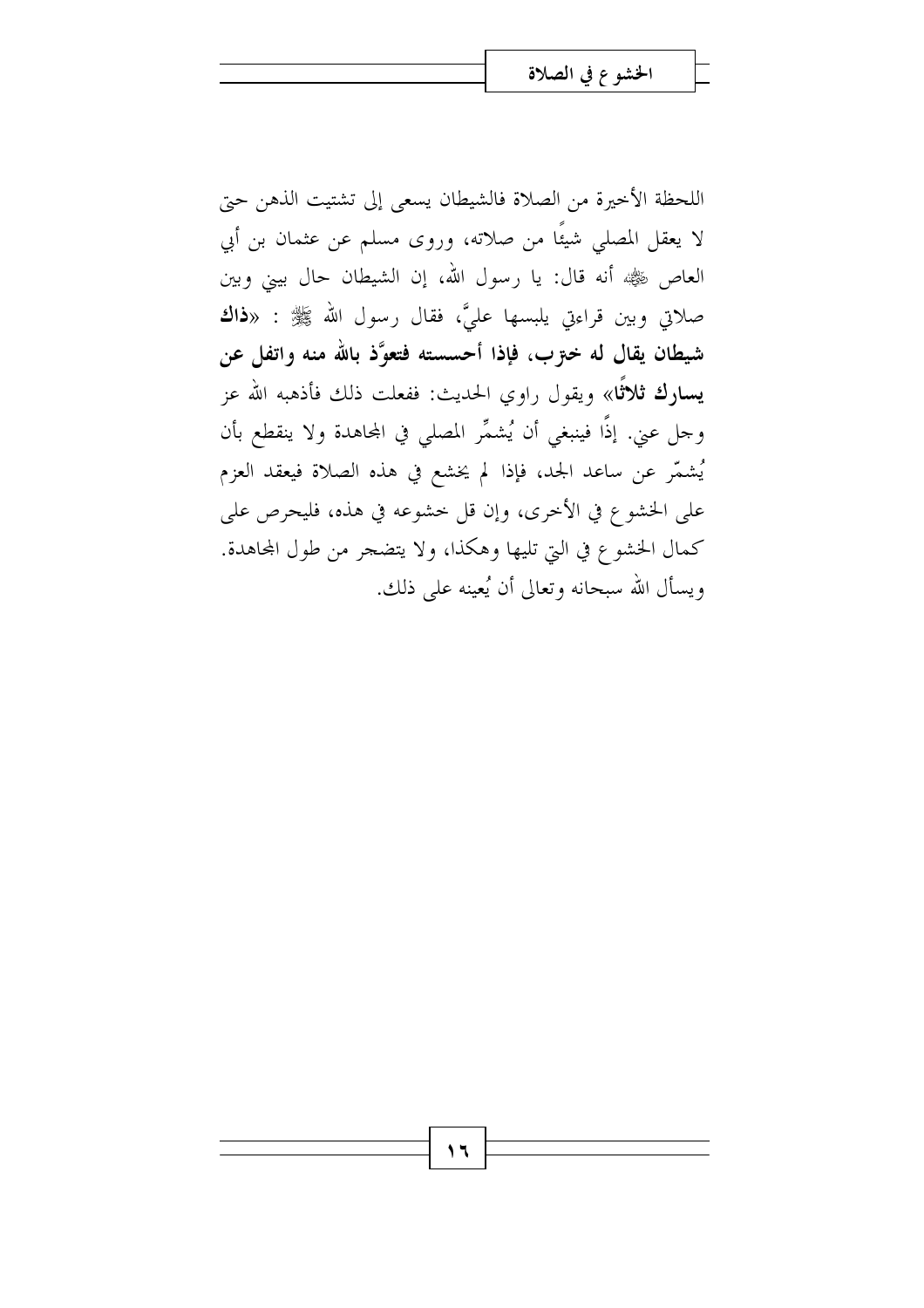اللحظة الأخيرة من الصلاة فالشيطان يسعى إلى تشتيت الذهن حتى لا يعقل المصلى شيئًا من صلاته، وروى مسلم عن عثمان بن أبي العاص ﷺ أنه قال: يا رسول الله، إن الشيطان حال بيني وبين صلاتي وبين قراءتي يلبسها عليَّ، فقال رسول الله ﷺ : «**ذاك** شيطان يقال له خـرّب، فإذا أحسسته فتعوَّذ بالله منه واتفل عن **يسارك ثلاثًا**» ويقول راوي الحديث: ففعلت ذلك فأذهبه الله عز وجل عني. إذًا فينبغي أن يُشمَّر المصلي في المحاهدة ولا ينقطع بأن يُشمَّر عن ساعد الجد، فإذا لم يخشع في هذه الصلاة فيعقد العزم على الخشوع في الأخرى، وإن قل خشوعه في هذه، فليحرص على كمال الخشوع في التي تليها وهكذا، ولا يتضجر من طول المحاهدة. ويسأل الله سبحانه وتعالى أن يُعينه على ذلك.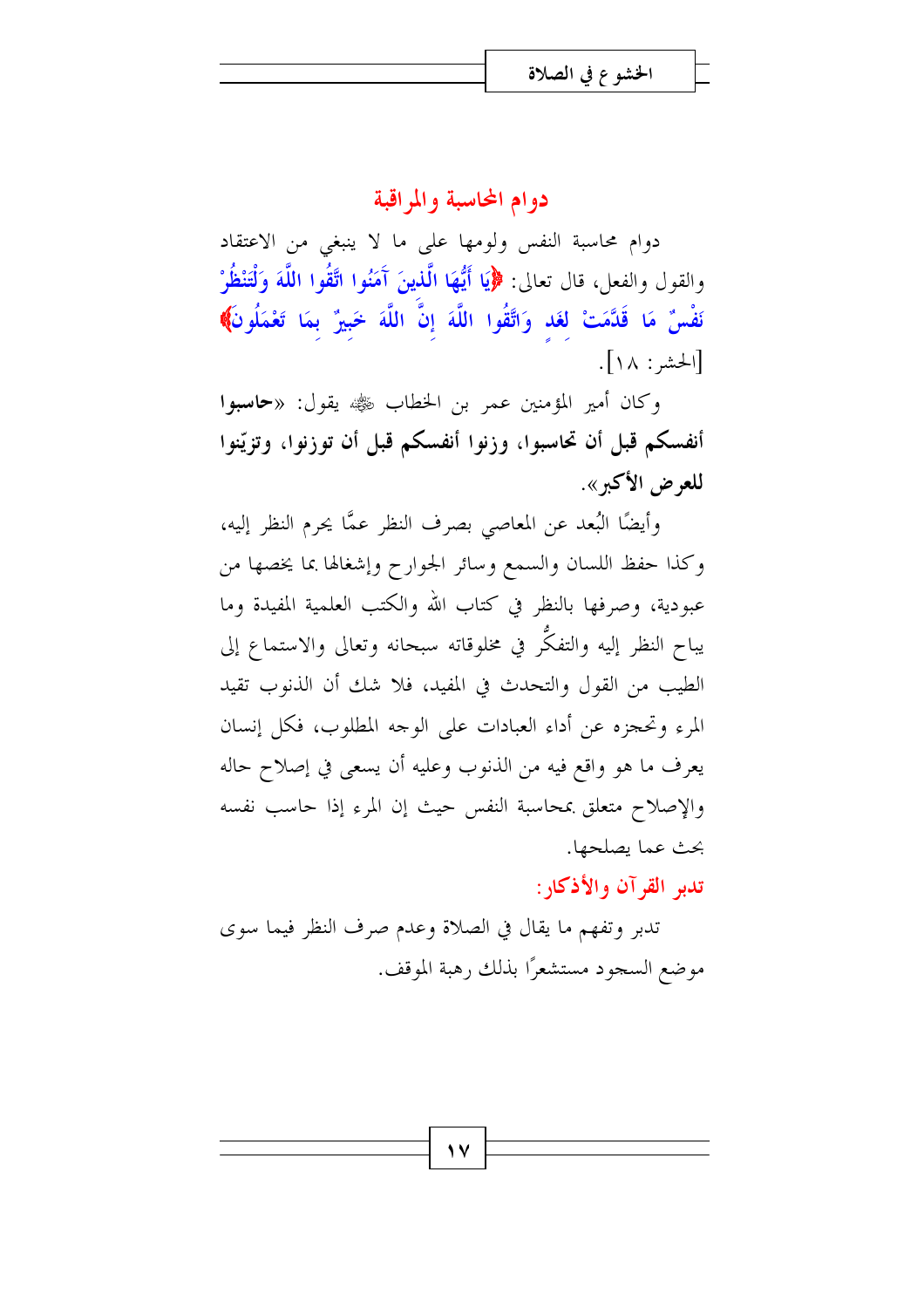### دوام المحاسبة والمراقبة

دوام محاسبة النفس ولومها على ما لا ينبغي من الاعتقاد والقول والفعل، قال تعالى: ﴿إِيَا أَيُّهَا الَّذِينَ آَمَنُوا اتَّقُوا اللَّهَ وَلْتَنْظُرْ نَفْسٌ مَا قَدَّمَتْ لَغَد وَاتَّقُوا اللَّهَ إِنَّ اللَّهَ خَبيرٌ بمَا تَعْمَلُونَ﴾ [الحشر: ١٨].

وكان أمير المؤمنين عمر بن الخطاب ﷺ يقول: «**حاسبوا** أنفسكم قبل أن تحاسبوا، وزنوا أنفسكم قبل أن توزنوا، وتزيّنوا للعرض الأكبر».

وأيضًا البُعد عن المعاصي بصرف النظر عمًّا يحرم النظر إليه، وكذا حفظ اللسان والسمع وسائر الجوارح وإشغالها بما يخصها من عبودية، وصرفها بالنظر في كتاب الله والكتب العلمية المفيدة وما يباح النظر إليه والتفكُّر في مخلوقاته سبحانه وتعالى والاستماع إلى الطيب من القول والتحدث في المفيد، فلا شك أن الذنوب تقيد المرء وتحجزه عن أداء العبادات على الوجه المطلوب، فكل إنسان يعرف ما هو واقع فيه من الذنوب وعليه أن يسعى في إصلاح حاله والإصلاح متعلق بمحاسبة النفس حيث إن المرء إذا حاسب نفسه بحث عما يصلحها.

تدبر القرآن والأذكار:

تدبر وتفهم ما يقال في الصلاة وعدم صرف النظر فيما سوى موضع السجود مستشعرًا بذلك رهبة الموقف.

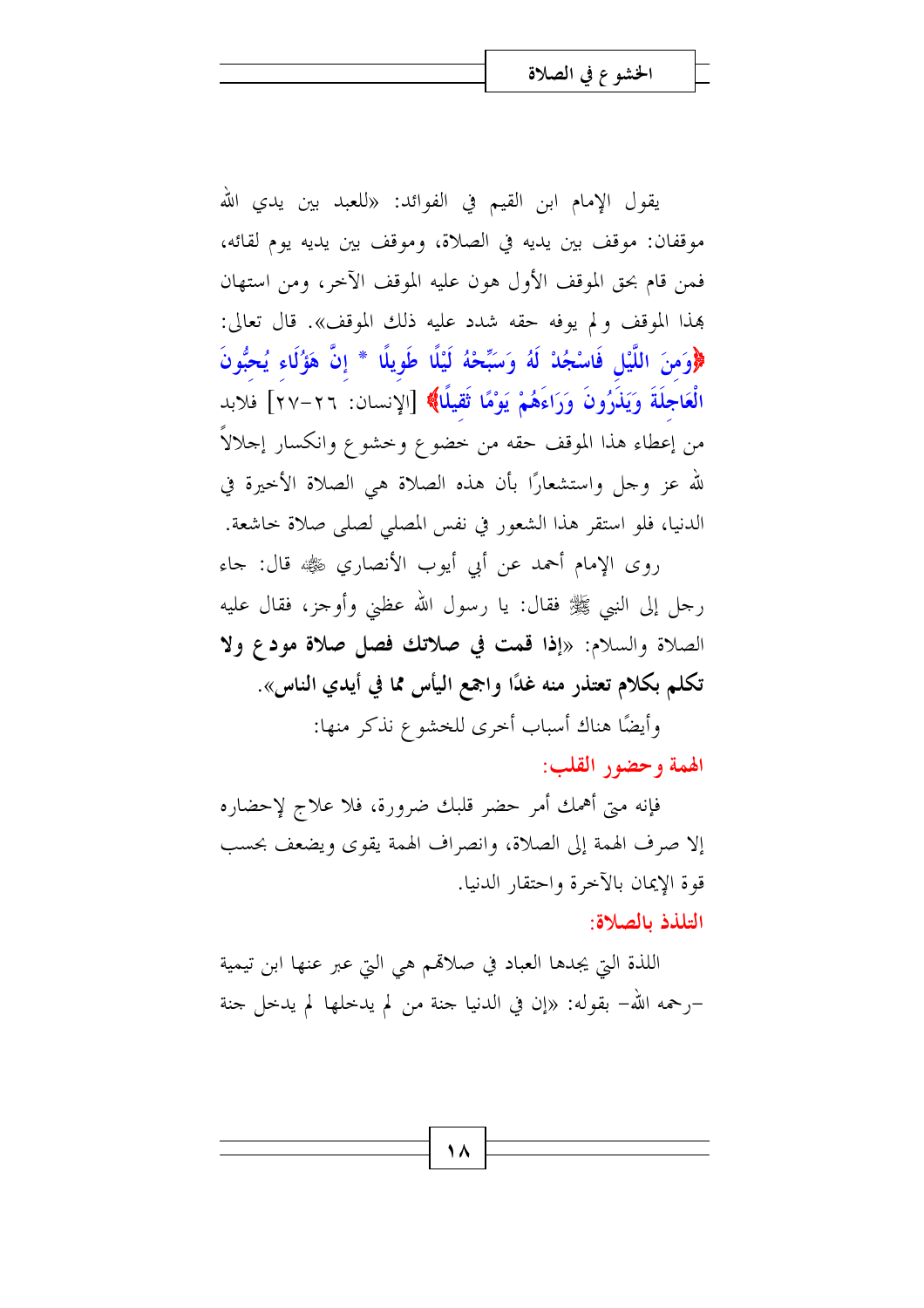يقول الإمام ابن القيم في الفوائد: «للعبد بين يدي الله موقفان: موقف بين يديه في الصلاة، وموقف بين يديه يوم لقائه، فَمَن قام بحق الموقف الأول هون عليه الموقف الآخر، ومن استهان هذا الموقف ولم يوفه حقه شدد عليه ذلك الموقف». قال تعالى: ﴿وَمِنَ اللَّيْلِ فَاسْجُدْ لَهُ وَسَبِّحْهُ لَيْلًا طَوِيلًا \* إِنَّ هَؤُلَاء يُحبُّونَ الْعَاجِلَةَ وَيَذَرُونَ وَرَاءَهُمْ يَوْمًا ثَقِيلًا﴾ [الإنسان: ٢٦–٢٧] فلابد من إعطاء هذا الموقف حقه من خضوع وخشوع وانكسار إحلالاً لله عز وجل واستشعارًا بأن هذه الصلاة هي الصلاة الأحيرة في الدنيا، فلو استقر هذا الشعور في نفس المصلى لصلى صلاة حاشعة.

روى الإمام أحمد عن أبي أيوب الأنصاري ﷺ قال: جاء رحل إلى النبي ﷺ فقال: يا رسول الله عظني وأوحز، فقال عليه الصلاة والسلام: «إذا قمت في صلاتك فصل صلاة مودع ولا تكلم بكلام تعتذر منه غدًا واجمع اليأس مما في أيدي الناس».

> وأيضًا هناك أسباب أخرى للخشوع نذكر منها: الهمة وحضور القلب:

فإنه متى أهمك أمر حضر قلبك ضرورة، فلا علاج لإحضاره إلا صرف الهمة إلى الصلاة، وانصراف الهمة يقوى ويضعف بحسب قوة الإيمان بالآخرة واحتقار الدنيا. التلذذ بالصلاة:

اللذة التي يجدها العباد في صلاقمم هي التي عبر عنها ابن تيمية –رحمه الله– بقوله: «إن في الدنيا جنة من لم يدخلها لم يدخل جنة

۱۸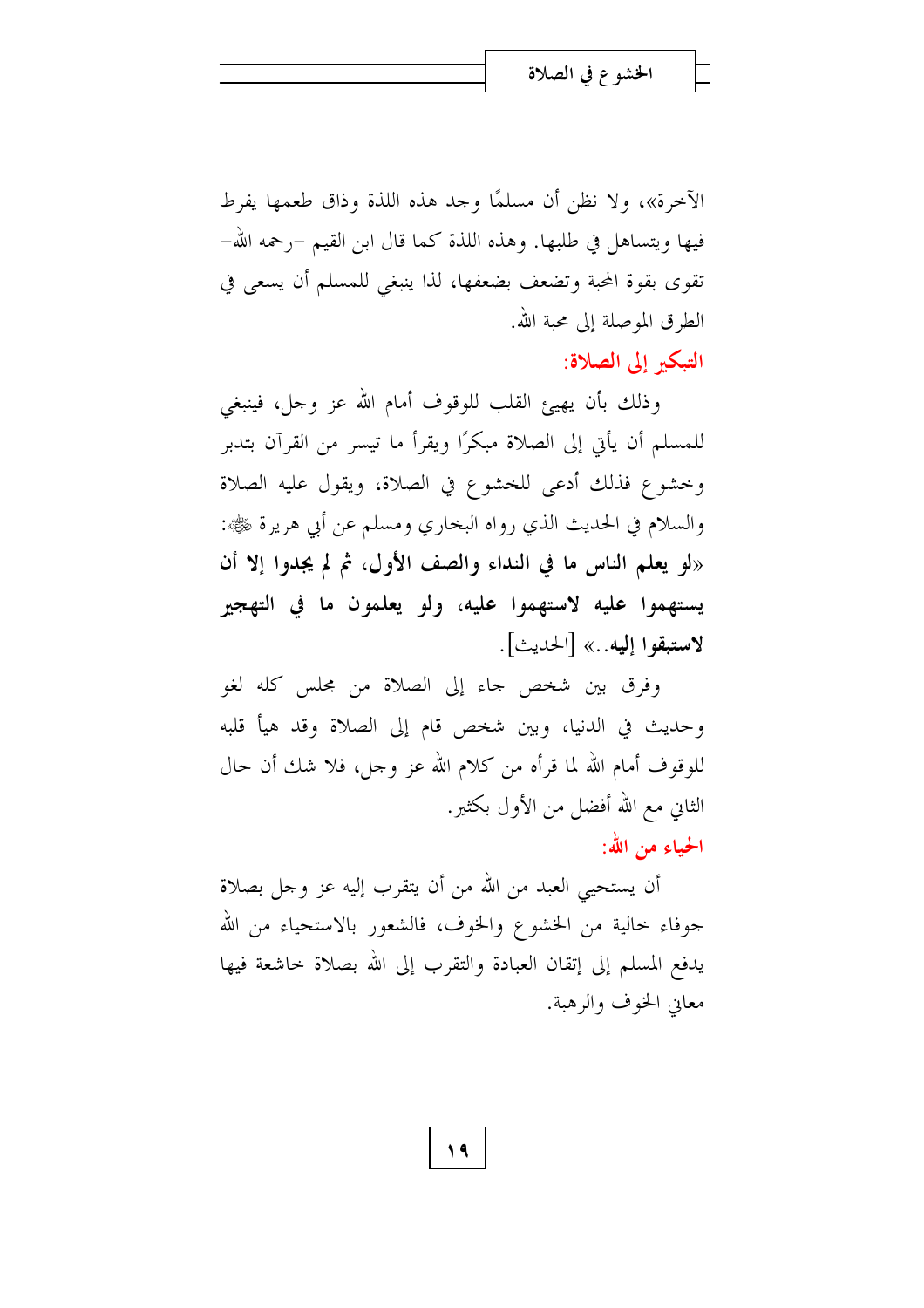الآخرة»، ولا نظن أن مسلمًا وجد هذه اللذة وذاقٍ طعمها يفرط فيها ويتساهل في طلبها. وهذه اللذة كما قال ابن القيم –رحمه الله– تقوى بقوة المحبة وتضعف بضعفها، لذا ينبغي للمسلم أن يسعى في الطرق الموصلة إلى محبة الله. التبكير إلى الصلاة:

وذلك بأن يهيئ القلب للوقوف أمام الله عز وجل، فينبغي للمسلم أن يأتي إلى الصلاة مبكرًا ويقرأ ما تيسر من القرآن بتدبر وخشوع فذلك أدعى للخشوع في الصلاة، ويقول عليه الصلاة والسلام في الحديث الذي رواه البخاري ومسلم عن أبي هريرة ﷺ: «لو يعلم الناس ما في النداء والصف الأول، ثم لم يجدوا إلا أن يستهموا عليه لاستهموا عليه، ولو يعلمون ما في التهجير لاستبقوا إليه..» [الحديث].

وفرق بين شخص جاء إلى الصلاة من مجلس كله لغو وحديث في الدنيا، وبين شخص قام إلى الصلاة وقد هيأ قلبه للوقوف أمام الله لما قرأه من كلام الله عز وجل، فلا شك أن حال الثاني مع الله أفضل من الأول بكثير. الحياء من الله:

أن يستحيى العبد من الله من أن يتقرب إليه عز وجل بصلاة جوفاء خالية من الخشوع والخوف، فالشعور بالاستحياء من الله يدفع المسلم إلى إتقان العبادة والتقرب إلى الله بصلاة حاشعة فيها معاني الخوف والرهبة.

۱۹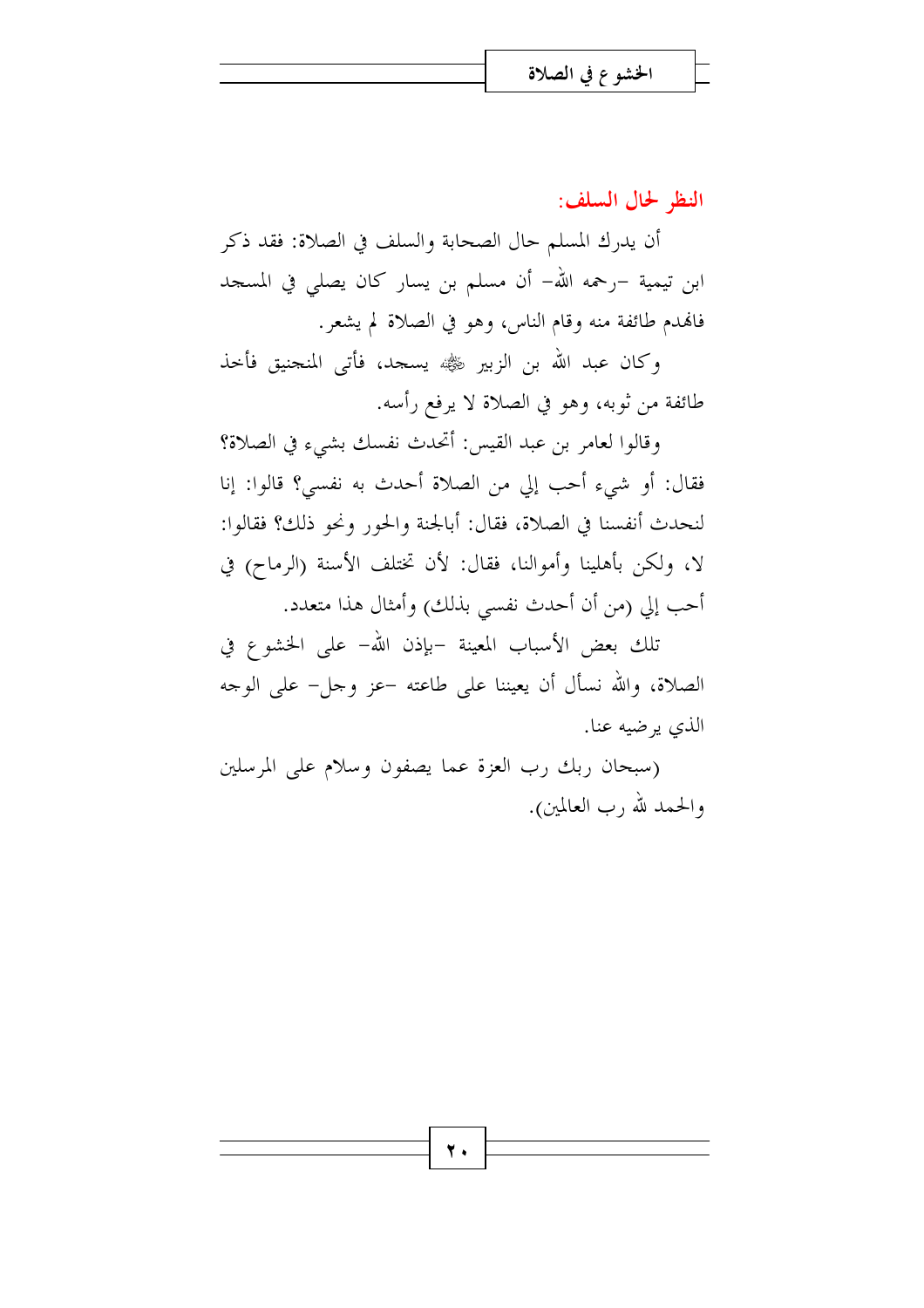النظر لحال السلف:

أن يدرك المسلم حال الصحابة والسلف في الصلاة: فقد ذكر ابن تيمية –رحمه الله– أن مسلم بن يسار كان يصلى في المسجد فالهدم طائفة منه وقام الناس، وهو في الصلاة لم يشعر.

وكان عبد الله بن الزبير ﷺ يسجد، فأتى المنجنيق فأحذ طائفة من ثوبه، وهو في الصلاة لا يرفع رأسه.

وقالوا لعامر بن عبد القيس: أتحدث نفسك بشيء في الصلاة؟ فقال: أو شيء أحب إلى من الصلاة أحدث به نفسي؟ قالوا: إنا لنحدث أنفسنا في الصلاة، فقال: أبالجنة والحور ونحو ذلك؟ فقالوا: لا، ولكن بأهلينا وأموالنا، فقال: لأن تختلف الأسنة (الرماح) في أحب إلى (من أن أحدث نفسي بذلك) وأمثال هذا متعدد.

تلك بعض الأسباب المعينة –بإذن الله- على الخشوع في الصلاة، والله نسأل أن يعيننا على طاعته –عز وجل– على الوجه الذي يرضيه عنا.

(سبحان ربك رب العزة عما يصفون وسلام على المرسلين والحمد لله رب العالمين).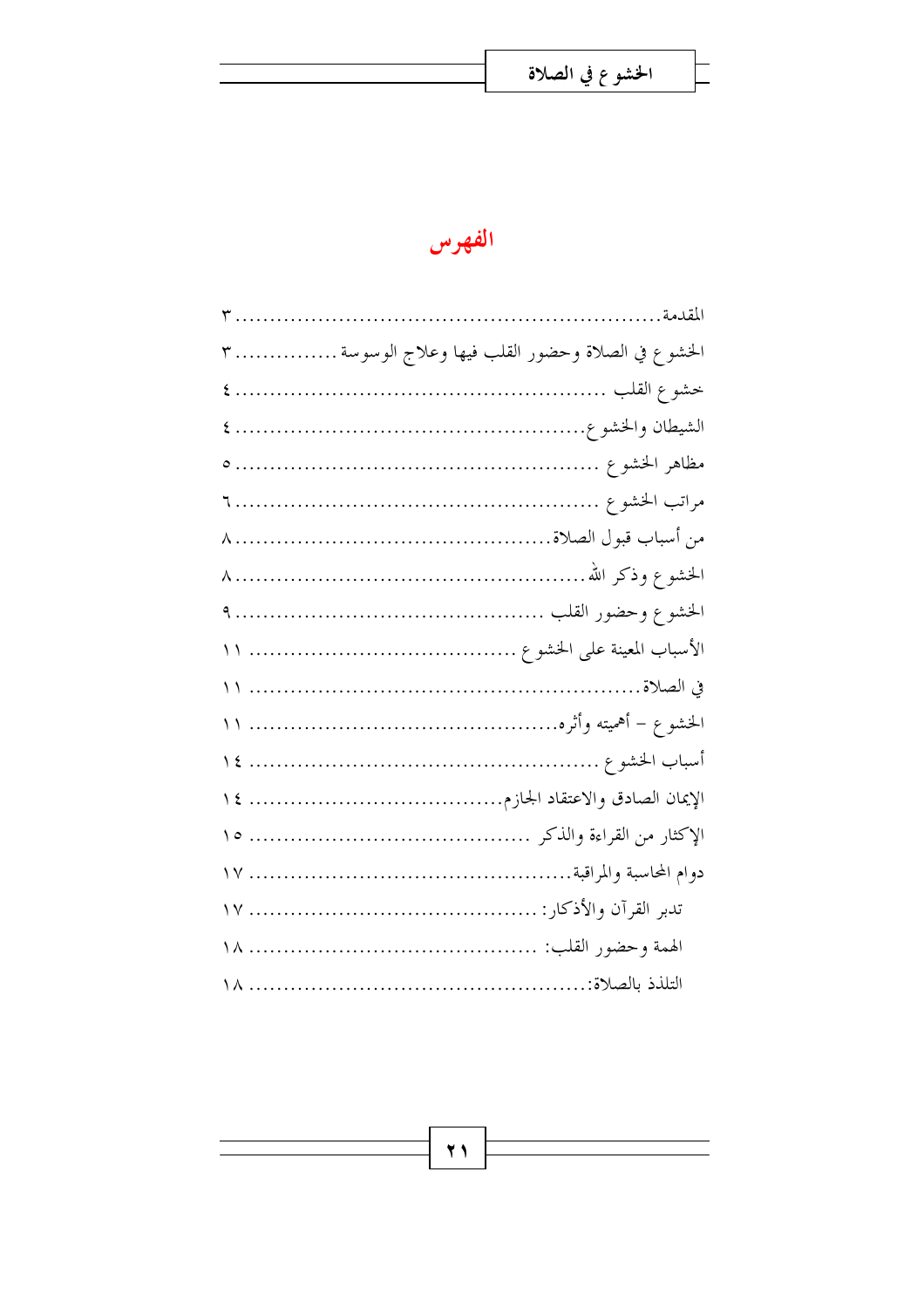$\overline{\phantom{a}}$ 



| المقدمة                                            |  |
|----------------------------------------------------|--|
| الخشوع في الصلاة وحضور القلب فيها وعلاج الوسوسة  ٣ |  |
|                                                    |  |
|                                                    |  |
|                                                    |  |
|                                                    |  |
|                                                    |  |
|                                                    |  |
|                                                    |  |
|                                                    |  |
|                                                    |  |
|                                                    |  |
|                                                    |  |
|                                                    |  |
|                                                    |  |
|                                                    |  |
|                                                    |  |
|                                                    |  |
|                                                    |  |

 $\overline{Y}$